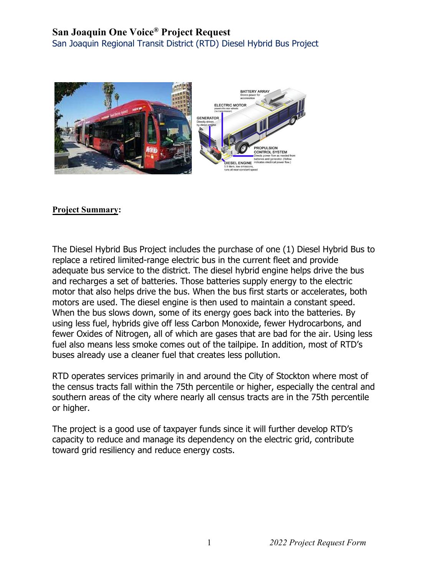## **San Joaquin One Voice® Project Request**

San Joaquin Regional Transit District (RTD) Diesel Hybrid Bus Project



## **Project Summary:**

The Diesel Hybrid Bus Project includes the purchase of one (1) Diesel Hybrid Bus to replace a retired limited-range electric bus in the current fleet and provide adequate bus service to the district. The diesel hybrid engine helps drive the bus and recharges a set of batteries. Those batteries supply energy to the electric motor that also helps drive the bus. When the bus first starts or accelerates, both motors are used. The diesel engine is then used to maintain a constant speed. When the bus slows down, some of its energy goes back into the batteries. By using less fuel, hybrids give off less Carbon Monoxide, fewer Hydrocarbons, and fewer Oxides of Nitrogen, all of which are gases that are bad for the air. Using less fuel also means less smoke comes out of the tailpipe. In addition, most of RTD's buses already use a cleaner fuel that creates less pollution.

RTD operates services primarily in and around the City of Stockton where most of the census tracts fall within the 75th percentile or higher, especially the central and southern areas of the city where nearly all census tracts are in the 75th percentile or higher.

The project is a good use of taxpayer funds since it will further develop RTD's capacity to reduce and manage its dependency on the electric grid, contribute toward grid resiliency and reduce energy costs.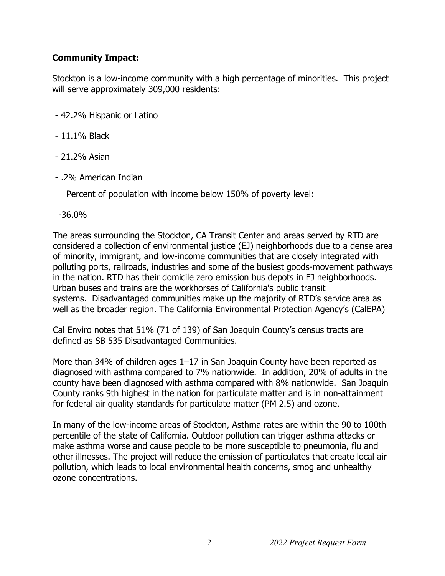## **Community Impact:**

Stockton is a low-income community with a high percentage of minorities. This project will serve approximately 309,000 residents:

- 42.2% Hispanic or Latino
- 11.1% Black
- 21.2% Asian
- .2% American Indian

Percent of population with income below 150% of poverty level:

-36.0%

The areas surrounding the Stockton, CA Transit Center and areas served by RTD are considered a collection of environmental justice (EJ) neighborhoods due to a dense area of minority, immigrant, and low-income communities that are closely integrated with polluting ports, railroads, industries and some of the busiest goods-movement pathways in the nation. RTD has their domicile zero emission bus depots in EJ neighborhoods. Urban buses and trains are the workhorses of California's public transit systems. Disadvantaged communities make up the majority of RTD's service area as well as the broader region. The California Environmental Protection Agency's (CalEPA)

Cal Enviro notes that 51% (71 of 139) of San Joaquin County's census tracts are defined as SB 535 Disadvantaged Communities.

More than 34% of children ages 1–17 in San Joaquin County have been reported as diagnosed with asthma compared to 7% nationwide. In addition, 20% of adults in the county have been diagnosed with asthma compared with 8% nationwide. San Joaquin County ranks 9th highest in the nation for particulate matter and is in non-attainment for federal air quality standards for particulate matter (PM 2.5) and ozone.

In many of the low-income areas of Stockton, Asthma rates are within the 90 to 100th percentile of the state of California. Outdoor pollution can trigger asthma attacks or make asthma worse and cause people to be more susceptible to pneumonia, flu and other illnesses. The project will reduce the emission of particulates that create local air pollution, which leads to local environmental health concerns, smog and unhealthy ozone concentrations.